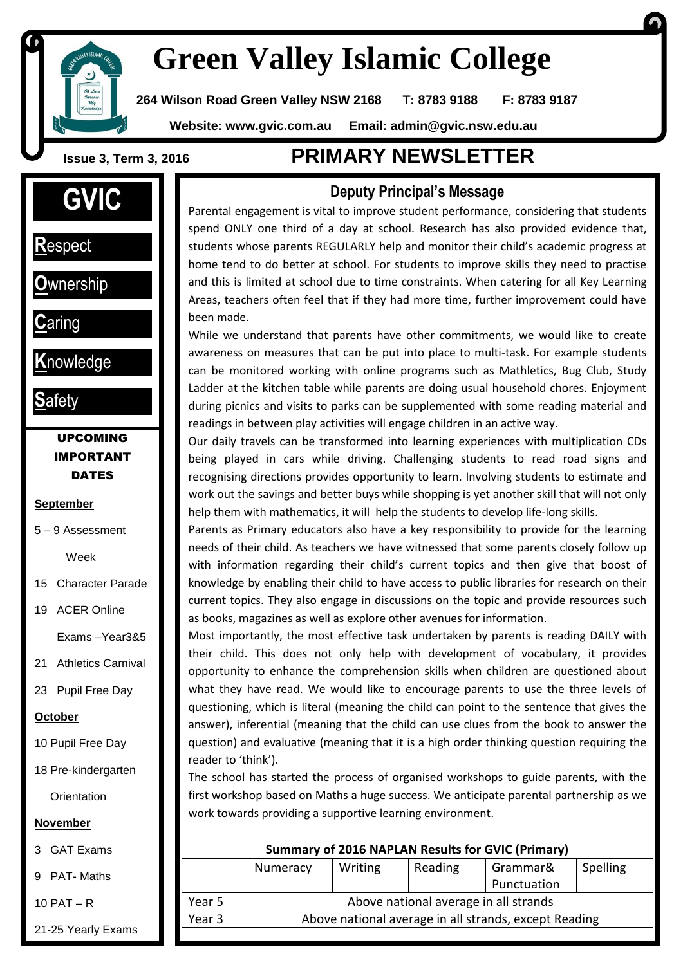

# **Green Valley Islamic College**

**264 Wilson Road Green Valley NSW 2168 T: 8783 9188 F: 8783 9187**

 **Website: www.gvic.com.au Email: [admin@gvic.nsw.edu.au](mailto:admin@gvic.com.au)**

# **GVIC**

**R**espect

I

**1**

**O**wnership

**C**aring

**K**nowledge

**S**afety

#### UPCOMING IMPORTANT **DATES**

#### **September**

5 – 9 Assessment

Week

- 15 Character Parade
- 19 ACER Online

Exams –Year3&5

21 Athletics Carnival

23 Pupil Free Day

#### **October**

10 Pupil Free Day

18 Pre-kindergarten

**Orientation** 

#### **November**

3 GAT Exams

9 PAT- Maths

10 PAT – R

21-25 Yearly Exams

## **Issue 3, Term 3, <sup>2016</sup> PRIMARY NEWSLETTER**

#### **Deputy Principal's Message**

Parental engagement is vital to improve student performance, considering that students spend ONLY one third of a day at school. Research has also provided evidence that, students whose parents REGULARLY help and monitor their child's academic progress at home tend to do better at school. For students to improve skills they need to practise and this is limited at school due to time constraints. When catering for all Key Learning Areas, teachers often feel that if they had more time, further improvement could have been made.

While we understand that parents have other commitments, we would like to create awareness on measures that can be put into place to multi-task. For example students can be monitored working with online programs such as Mathletics, Bug Club, Study Ladder at the kitchen table while parents are doing usual household chores. Enjoyment during picnics and visits to parks can be supplemented with some reading material and readings in between play activities will engage children in an active way.

Our daily travels can be transformed into learning experiences with multiplication CDs being played in cars while driving. Challenging students to read road signs and recognising directions provides opportunity to learn. Involving students to estimate and work out the savings and better buys while shopping is yet another skill that will not only help them with mathematics, it will help the students to develop life-long skills.

Parents as Primary educators also have a key responsibility to provide for the learning needs of their child. As teachers we have witnessed that some parents closely follow up with information regarding their child's current topics and then give that boost of knowledge by enabling their child to have access to public libraries for research on their current topics. They also engage in discussions on the topic and provide resources such as books, magazines as well as explore other avenues for information.

Most importantly, the most effective task undertaken by parents is reading DAILY with their child. This does not only help with development of vocabulary, it provides opportunity to enhance the comprehension skills when children are questioned about what they have read. We would like to encourage parents to use the three levels of questioning, which is literal (meaning the child can point to the sentence that gives the answer), inferential (meaning that the child can use clues from the book to answer the question) and evaluative (meaning that it is a high order thinking question requiring the reader to 'think').

The school has started the process of organised workshops to guide parents, with the first workshop based on Maths a huge success. We anticipate parental partnership as we work towards providing a supportive learning environment.

| <b>Summary of 2016 NAPLAN Results for GVIC (Primary)</b> |                                                       |         |         |             |          |
|----------------------------------------------------------|-------------------------------------------------------|---------|---------|-------------|----------|
|                                                          | Numeracy                                              | Writing | Reading | Grammar&    | Spelling |
|                                                          |                                                       |         |         | Punctuation |          |
| Year 5                                                   | Above national average in all strands                 |         |         |             |          |
| Year 3                                                   | Above national average in all strands, except Reading |         |         |             |          |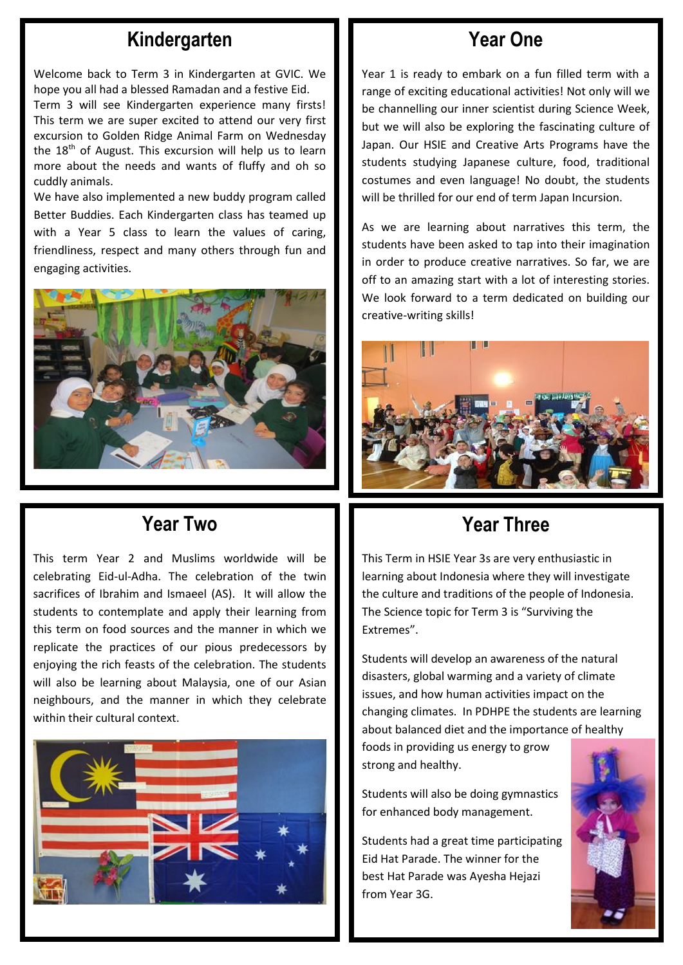## **Kindergarten**

Welcome back to Term 3 in Kindergarten at GVIC. We hope you all had a blessed Ramadan and a festive Eid. Term 3 will see Kindergarten experience many firsts! This term we are super excited to attend our very first

excursion to Golden Ridge Animal Farm on Wednesday the  $18<sup>th</sup>$  of August. This excursion will help us to learn more about the needs and wants of fluffy and oh so cuddly animals.

We have also implemented a new buddy program called Better Buddies. Each Kindergarten class has teamed up with a Year 5 class to learn the values of caring, friendliness, respect and many others through fun and engaging activities.



## **Year Two**

This term Year 2 and Muslims worldwide will be celebrating Eid-ul-Adha. The celebration of the twin sacrifices of Ibrahim and Ismaeel (AS). It will allow the students to contemplate and apply their learning from this term on food sources and the manner in which we replicate the practices of our pious predecessors by enjoying the rich feasts of the celebration. The students will also be learning about Malaysia, one of our Asian neighbours, and the manner in which they celebrate within their cultural context.



## **Year One**

Year 1 is ready to embark on a fun filled term with a range of exciting educational activities! Not only will we be channelling our inner scientist during Science Week, but we will also be exploring the fascinating culture of Japan. Our HSIE and Creative Arts Programs have the students studying Japanese culture, food, traditional costumes and even language! No doubt, the students will be thrilled for our end of term Japan Incursion.

As we are learning about narratives this term, the students have been asked to tap into their imagination in order to produce creative narratives. So far, we are off to an amazing start with a lot of interesting stories. We look forward to a term dedicated on building our creative-writing skills!



## **Year Three**

This Term in HSIE Year 3s are very enthusiastic in learning about Indonesia where they will investigate the culture and traditions of the people of Indonesia. The Science topic for Term 3 is "Surviving the Extremes".

Students will develop an awareness of the natural disasters, global warming and a variety of climate issues, and how human activities impact on the changing climates. In PDHPE the students are learning about balanced diet and the importance of healthy

foods in providing us energy to grow strong and healthy.

Students will also be doing gymnastics for enhanced body management.

Students had a great time participating Eid Hat Parade. The winner for the best Hat Parade was Ayesha Hejazi from Year 3G.

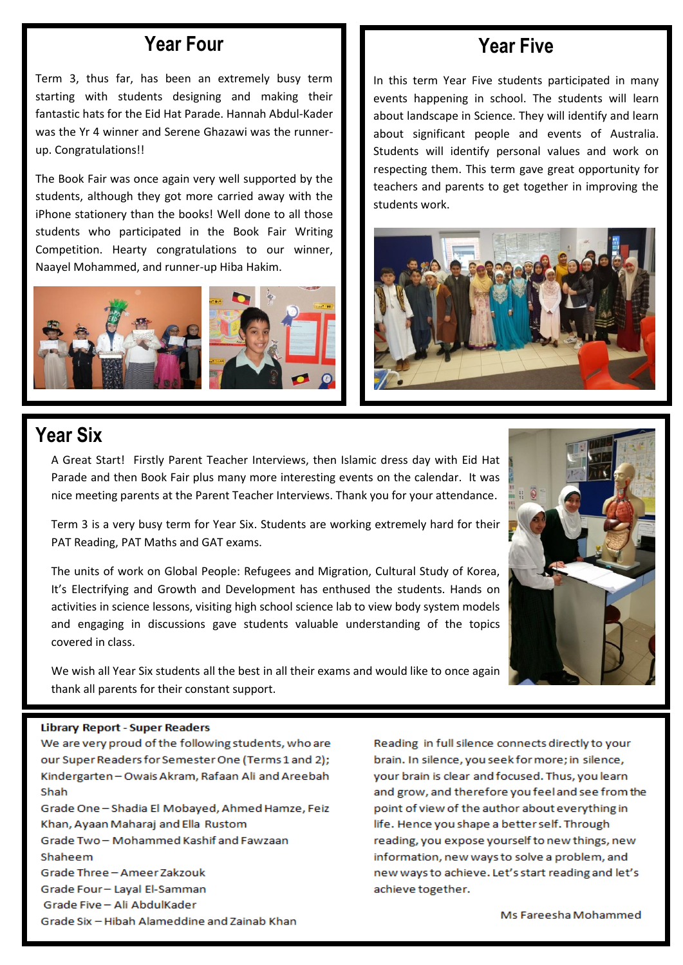#### **Year Four**

Term 3, thus far, has been an extremely busy term starting with students designing and making their fantastic hats for the Eid Hat Parade. Hannah Abdul-Kader was the Yr 4 winner and Serene Ghazawi was the runnerup. Congratulations!!

The Book Fair was once again very well supported by the students, although they got more carried away with the iPhone stationery than the books! Well done to all those students who participated in the Book Fair Writing Competition. Hearty congratulations to our winner, Naayel Mohammed, and runner-up Hiba Hakim.



## **Year Five**

I

In this term Year Five students participated in many events happening in school. The students will learn about landscape in Science. They will identify and learn about significant people and events of Australia. Students will identify personal values and work on respecting them. This term gave great opportunity for teachers and parents to get together in improving the students work.



## **Year Six**

A Great Start! Firstly Parent Teacher Interviews, then Islamic dress day with Eid Hat Parade and then Book Fair plus many more interesting events on the calendar. It was nice meeting parents at the Parent Teacher Interviews. Thank you for your attendance.

Term 3 is a very busy term for Year Six. Students are working extremely hard for their PAT Reading, PAT Maths and GAT exams.

The units of work on Global People: Refugees and Migration, Cultural Study of Korea, It's Electrifying and Growth and Development has enthused the students. Hands on activities in science lessons, visiting high school science lab to view body system models and engaging in discussions gave students valuable understanding of the topics covered in class.

We wish all Year Six students all the best in all their exams and would like to once again thank all parents for their constant support.

#### **Library Report - Super Readers**

We are very proud of the following students, who are our Super Readers for Semester One (Terms 1 and 2); Kindergarten - Owais Akram, Rafaan Ali and Areebah Shah Grade One - Shadia El Mobayed, Ahmed Hamze, Feiz Khan, Ayaan Maharaj and Ella Rustom Grade Two-Mohammed Kashif and Fawzaan Shaheem Grade Three - Ameer Zakzouk Grade Four-Layal El-Samman

Grade Five - Ali AbdulKader

Grade Six - Hibah Alameddine and Zainab Khan

Reading in full silence connects directly to your brain. In silence, you seek for more; in silence, your brain is clear and focused. Thus, you learn and grow, and therefore you feel and see from the point of view of the author about everything in life. Hence you shape a better self. Through reading, you expose yourself to new things, new information, new ways to solve a problem, and new ways to achieve. Let's start reading and let's achieve together.

Ms Fareesha Mohammed